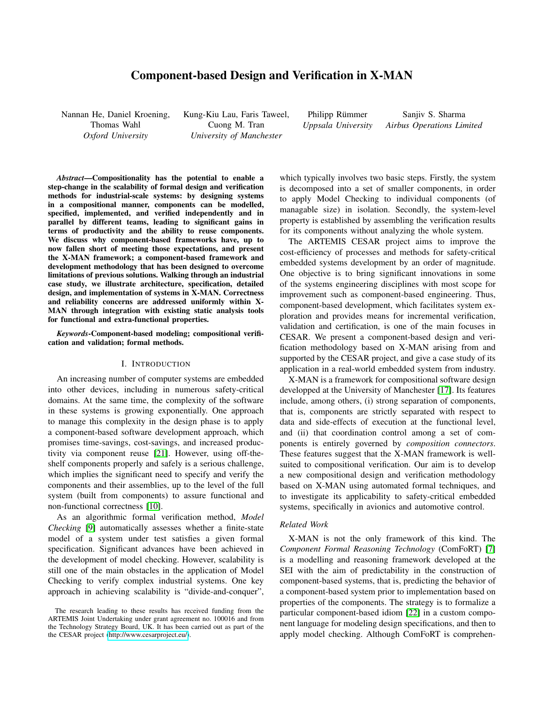# Component-based Design and Verification in X-MAN

Nannan He, Daniel Kroening, Thomas Wahl *Oxford University*

Kung-Kiu Lau, Faris Taweel, Cuong M. Tran *University of Manchester*

Philipp Rümmer *Uppsala University*

Sanjiv S. Sharma *Airbus Operations Limited*

*Abstract*—Compositionality has the potential to enable a step-change in the scalability of formal design and verification methods for industrial-scale systems: by designing systems in a compositional manner, components can be modelled, specified, implemented, and verified independently and in parallel by different teams, leading to significant gains in terms of productivity and the ability to reuse components. We discuss why component-based frameworks have, up to now fallen short of meeting those expectations, and present the X-MAN framework; a component-based framework and development methodology that has been designed to overcome limitations of previous solutions. Walking through an industrial case study, we illustrate architecture, specification, detailed design, and implementation of systems in X-MAN. Correctness and reliability concerns are addressed uniformly within X-MAN through integration with existing static analysis tools for functional and extra-functional properties.

*Keywords*-Component-based modeling; compositional verification and validation; formal methods.

#### I. INTRODUCTION

An increasing number of computer systems are embedded into other devices, including in numerous safety-critical domains. At the same time, the complexity of the software in these systems is growing exponentially. One approach to manage this complexity in the design phase is to apply a component-based software development approach, which promises time-savings, cost-savings, and increased productivity via component reuse [\[21\]](#page-8-0). However, using off-theshelf components properly and safely is a serious challenge, which implies the significant need to specify and verify the components and their assemblies, up to the level of the full system (built from components) to assure functional and non-functional correctness [\[10\]](#page-8-1).

As an algorithmic formal verification method, *Model Checking* [\[9\]](#page-8-2) automatically assesses whether a finite-state model of a system under test satisfies a given formal specification. Significant advances have been achieved in the development of model checking. However, scalability is still one of the main obstacles in the application of Model Checking to verify complex industrial systems. One key approach in achieving scalability is "divide-and-conquer", which typically involves two basic steps. Firstly, the system is decomposed into a set of smaller components, in order to apply Model Checking to individual components (of managable size) in isolation. Secondly, the system-level property is established by assembling the verification results for its components without analyzing the whole system.

The ARTEMIS CESAR project aims to improve the cost-efficiency of processes and methods for safety-critical embedded systems development by an order of magnitude. One objective is to bring significant innovations in some of the systems engineering disciplines with most scope for improvement such as component-based engineering. Thus, component-based development, which facilitates system exploration and provides means for incremental verification, validation and certification, is one of the main focuses in CESAR. We present a component-based design and verification methodology based on X-MAN arising from and supported by the CESAR project, and give a case study of its application in a real-world embedded system from industry.

X-MAN is a framework for compositional software design developped at the University of Manchester [\[17\]](#page-8-3). Its features include, among others, (i) strong separation of components, that is, components are strictly separated with respect to data and side-effects of execution at the functional level, and (ii) that coordination control among a set of components is entirely governed by *composition connectors*. These features suggest that the X-MAN framework is wellsuited to compositional verification. Our aim is to develop a new compositional design and verification methodology based on X-MAN using automated formal techniques, and to investigate its applicability to safety-critical embedded systems, specifically in avionics and automotive control.

#### *Related Work*

X-MAN is not the only framework of this kind. The *Component Formal Reasoning Technology* (ComFoRT) [\[7\]](#page-8-4) is a modelling and reasoning framework developed at the SEI with the aim of predictability in the construction of component-based systems, that is, predicting the behavior of a component-based system prior to implementation based on properties of the components. The strategy is to formalize a particular component-based idiom [\[22\]](#page-8-5) in a custom component language for modeling design specifications, and then to apply model checking. Although ComFoRT is comprehen-

The research leading to these results has received funding from the ARTEMIS Joint Undertaking under grant agreement no. 100016 and from the Technology Strategy Board, UK. It has been carried out as part of the the CESAR project [\(http://www.cesarproject.eu/\)](http://www.cesarproject.eu/).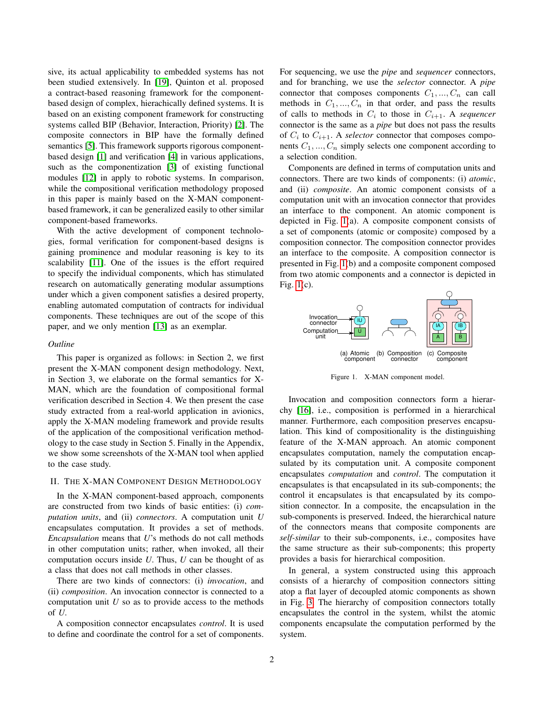sive, its actual applicability to embedded systems has not been studied extensively. In [\[19\]](#page-8-6), Quinton et al. proposed a contract-based reasoning framework for the componentbased design of complex, hierachically defined systems. It is based on an existing component framework for constructing systems called BIP (Behavior, Interaction, Priority) [\[2\]](#page-7-0). The composite connectors in BIP have the formally defined semantics [\[5\]](#page-8-7). This framework supports rigorous componentbased design [\[1\]](#page-7-1) and verification [\[4\]](#page-8-8) in various applications, such as the componentization [\[3\]](#page-8-9) of existing functional modules [\[12\]](#page-8-10) in apply to robotic systems. In comparison, while the compositional verification methodology proposed in this paper is mainly based on the X-MAN componentbased framework, it can be generalized easily to other similar component-based frameworks.

With the active development of component technologies, formal verification for component-based designs is gaining prominence and modular reasoning is key to its scalability [\[11\]](#page-8-11). One of the issues is the effort required to specify the individual components, which has stimulated research on automatically generating modular assumptions under which a given component satisfies a desired property, enabling automated computation of contracts for individual components. These techniques are out of the scope of this paper, and we only mention [\[13\]](#page-8-12) as an exemplar.

#### *Outline*

This paper is organized as follows: in Section 2, we first present the X-MAN component design methodology. Next, in Section 3, we elaborate on the formal semantics for X-MAN, which are the foundation of compositional formal verification described in Section 4. We then present the case study extracted from a real-world application in avionics, apply the X-MAN modeling framework and provide results of the application of the compositional verification methodology to the case study in Section 5. Finally in the Appendix, we show some screenshots of the X-MAN tool when applied to the case study.

### II. THE X-MAN COMPONENT DESIGN METHODOLOGY

In the X-MAN component-based approach, components are constructed from two kinds of basic entities: (i) *computation units*, and (ii) *connectors*. A computation unit *U* encapsulates computation. It provides a set of methods. *Encapsulation* means that *U*'s methods do not call methods in other computation units; rather, when invoked, all their computation occurs inside *U*. Thus, *U* can be thought of as a class that does not call methods in other classes.

There are two kinds of connectors: (i) *invocation*, and (ii) *composition*. An invocation connector is connected to a computation unit *U* so as to provide access to the methods of *U*.

A composition connector encapsulates *control*. It is used to define and coordinate the control for a set of components. For sequencing, we use the *pipe* and *sequencer* connectors, and for branching, we use the *selector* connector. A *pipe* connector that composes components  $C_1, ..., C_n$  can call methods in  $C_1, ..., C_n$  in that order, and pass the results of calls to methods in  $C_i$  to those in  $C_{i+1}$ . A *sequencer* connector is the same as a *pipe* but does not pass the results of  $C_i$  to  $C_{i+1}$ . A *selector* connector that composes components  $C_1, ..., C_n$  simply selects one component according to a selection condition.

Components are defined in terms of computation units and connectors. There are two kinds of components: (i) *atomic*, and (ii) *composite*. An atomic component consists of a computation unit with an invocation connector that provides an interface to the component. An atomic component is depicted in Fig. [1\(](#page-1-0)a). A composite component consists of a set of components (atomic or composite) composed by a composition connector. The composition connector provides an interface to the composite. A composition connector is presented in Fig. [1\(](#page-1-0)b) and a composite component composed from two atomic components and a connector is depicted in Fig. [1\(](#page-1-0)c).



<span id="page-1-0"></span>Figure 1. X-MAN component model.

Invocation and composition connectors form a hierarchy [\[16\]](#page-8-13), i.e., composition is performed in a hierarchical manner. Furthermore, each composition preserves encapsulation. This kind of compositionality is the distinguishing feature of the X-MAN approach. An atomic component encapsulates computation, namely the computation encapsulated by its computation unit. A composite component encapsulates *computation* and *control*. The computation it encapsulates is that encapsulated in its sub-components; the control it encapsulates is that encapsulated by its composition connector. In a composite, the encapsulation in the sub-components is preserved. Indeed, the hierarchical nature of the connectors means that composite components are *self-similar* to their sub-components, i.e., composites have the same structure as their sub-components; this property provides a basis for hierarchical composition.

In general, a system constructed using this approach consists of a hierarchy of composition connectors sitting atop a flat layer of decoupled atomic components as shown in Fig. [3.](#page-5-0) The hierarchy of composition connectors totally encapsulates the control in the system, whilst the atomic components encapsulate the computation performed by the system.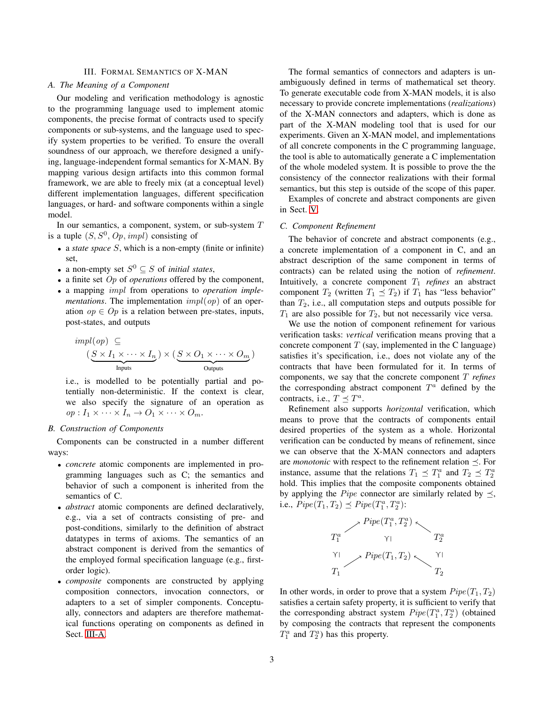## III. FORMAL SEMANTICS OF X-MAN

## <span id="page-2-0"></span>*A. The Meaning of a Component*

Our modeling and verification methodology is agnostic to the programming language used to implement atomic components, the precise format of contracts used to specify components or sub-systems, and the language used to specify system properties to be verified. To ensure the overall soundness of our approach, we therefore designed a unifying, language-independent formal semantics for X-MAN. By mapping various design artifacts into this common formal framework, we are able to freely mix (at a conceptual level) different implementation languages, different specification languages, or hard- and software components within a single model.

In our semantics, a component, system, or sub-system  $T$ is a tuple  $(S, S^0, Op, impl)$  consisting of

- a *state space* S, which is a non-empty (finite or infinite) set,
- a non-empty set  $S^0 \subseteq S$  of *initial states*,
- a finite set Op of *operations* offered by the component,
- a mapping impl from operations to *operation implementations*. The implementation  $impl(op)$  of an operation  $op \in Op$  is a relation between pre-states, inputs, post-states, and outputs

$$
impl (op) \subseteq
$$
  

$$
(\underbrace{S \times I_1 \times \cdots \times I_n}_{\text{InputStream}}) \times (\underbrace{S \times O_1 \times \cdots \times O_m}_{\text{OutputStream}})
$$

i.e., is modelled to be potentially partial and potentially non-deterministic. If the context is clear, we also specify the signature of an operation as  $op: I_1 \times \cdots \times I_n \to O_1 \times \cdots \times O_m.$ 

## *B. Construction of Components*

Components can be constructed in a number different ways:

- *concrete* atomic components are implemented in programming languages such as C; the semantics and behavior of such a component is inherited from the semantics of C.
- *abstract* atomic components are defined declaratively, e.g., via a set of contracts consisting of pre- and post-conditions, similarly to the definition of abstract datatypes in terms of axioms. The semantics of an abstract component is derived from the semantics of the employed formal specification language (e.g., firstorder logic).
- *composite* components are constructed by applying composition connectors, invocation connectors, or adapters to a set of simpler components. Conceptually, connectors and adapters are therefore mathematical functions operating on components as defined in Sect. [III-A.](#page-2-0)

The formal semantics of connectors and adapters is unambiguously defined in terms of mathematical set theory. To generate executable code from X-MAN models, it is also necessary to provide concrete implementations (*realizations*) of the X-MAN connectors and adapters, which is done as part of the X-MAN modeling tool that is used for our experiments. Given an X-MAN model, and implementations of all concrete components in the C programming language, the tool is able to automatically generate a C implementation of the whole modeled system. It is possible to prove the the consistency of the connector realizations with their formal semantics, but this step is outside of the scope of this paper.

Examples of concrete and abstract components are given in Sect. [V.](#page-4-0)

### *C. Component Refinement*

The behavior of concrete and abstract components (e.g., a concrete implementation of a component in C, and an abstract description of the same component in terms of contracts) can be related using the notion of *refinement*. Intuitively, a concrete component  $T_1$  *refines* an abstract component  $T_2$  (written  $T_1 \preceq T_2$ ) if  $T_1$  has "less behavior" than  $T_2$ , i.e., all computation steps and outputs possible for  $T_1$  are also possible for  $T_2$ , but not necessarily vice versa.

We use the notion of component refinement for various verification tasks: *vertical* verification means proving that a concrete component  $T$  (say, implemented in the C language) satisfies it's specification, i.e., does not violate any of the contracts that have been formulated for it. In terms of components, we say that the concrete component T *refines* the corresponding abstract component  $T^a$  defined by the contracts, i.e.,  $T \preceq T^a$ .

Refinement also supports *horizontal* verification, which means to prove that the contracts of components entail desired properties of the system as a whole. Horizontal verification can be conducted by means of refinement, since we can observe that the X-MAN connectors and adapters are *monotonic* with respect to the refinement relation  $\preceq$ . For instance, assume that the relations  $T_1 \preceq T_1^a$  and  $T_2 \preceq T_2^a$ hold. This implies that the composite components obtained by applying the *Pipe* connector are similarly related by  $\preceq$ , i.e.,  $Pipe(T_1, T_2) \preceq Pipe(T_1^a, T_2^a)$ :



In other words, in order to prove that a system  $Pipe(T_1, T_2)$ satisfies a certain safety property, it is sufficient to verify that the corresponding abstract system  $Pipe(T_1^a, T_2^a)$  (obtained by composing the contracts that represent the components  $T_1^a$  and  $T_2^a$ ) has this property.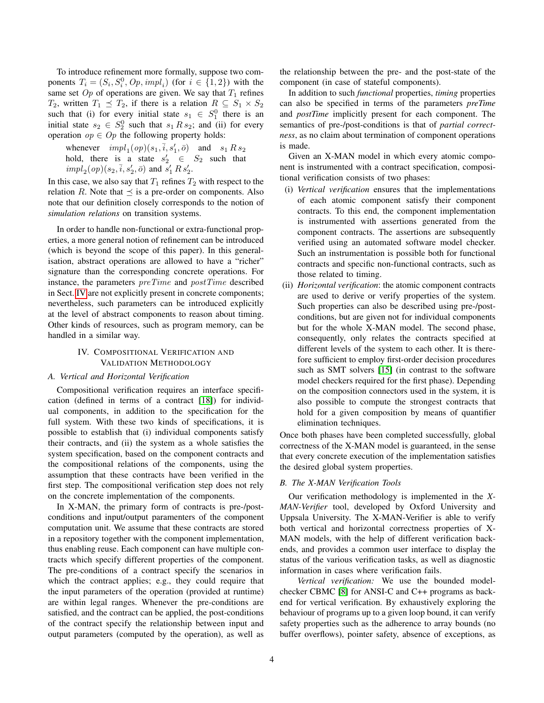To introduce refinement more formally, suppose two components  $T_i = (S_i, S_i^0, Op, impl_i)$  (for  $i \in \{1, 2\}$ ) with the same set  $Op$  of operations are given. We say that  $T_1$  refines  $T_2$ , written  $T_1 \preceq T_2$ , if there is a relation  $R \subseteq S_1 \times S_2$ such that (i) for every initial state  $s_1 \in S_1^0$  there is an initial state  $s_2 \in S_2^0$  such that  $s_1 R s_2$ ; and (ii) for every operation  $op \in Op$  the following property holds:

whenever  $impl_1(op)(s_1, \overline{i}, s'_1, \overline{o})$  and  $s_1 R s_2$ hold, there is a state  $s'_2 \in S_2$  such that  $impl_2(op)(s_2, \bar{i}, s'_2, \bar{o})$  and  $s'_1 R s'_2$ .

In this case, we also say that  $T_1$  refines  $T_2$  with respect to the relation R. Note that  $\preceq$  is a pre-order on components. Also note that our definition closely corresponds to the notion of *simulation relations* on transition systems.

In order to handle non-functional or extra-functional properties, a more general notion of refinement can be introduced (which is beyond the scope of this paper). In this generalisation, abstract operations are allowed to have a "richer" signature than the corresponding concrete operations. For instance, the parameters preTime and postTime described in Sect. [IV](#page-3-0) are not explicitly present in concrete components; nevertheless, such parameters can be introduced explicitly at the level of abstract components to reason about timing. Other kinds of resources, such as program memory, can be handled in a similar way.

## IV. COMPOSITIONAL VERIFICATION AND VALIDATION METHODOLOGY

#### <span id="page-3-0"></span>*A. Vertical and Horizontal Verification*

Compositional verification requires an interface specification (defined in terms of a contract [\[18\]](#page-8-14)) for individual components, in addition to the specification for the full system. With these two kinds of specifications, it is possible to establish that (i) individual components satisfy their contracts, and (ii) the system as a whole satisfies the system specification, based on the component contracts and the compositional relations of the components, using the assumption that these contracts have been verified in the first step. The compositional verification step does not rely on the concrete implementation of the components.

In X-MAN, the primary form of contracts is pre-/postconditions and input/output paramenters of the component computation unit. We assume that these contracts are stored in a repository together with the component implementation, thus enabling reuse. Each component can have multiple contracts which specify different properties of the component. The pre-conditions of a contract specify the scenarios in which the contract applies; e.g., they could require that the input parameters of the operation (provided at runtime) are within legal ranges. Whenever the pre-conditions are satisfied, and the contract can be applied, the post-conditions of the contract specify the relationship between input and output parameters (computed by the operation), as well as the relationship between the pre- and the post-state of the component (in case of stateful components).

In addition to such *functional* properties, *timing* properties can also be specified in terms of the parameters *preTime* and *postTime* implicitly present for each component. The semantics of pre-/post-conditions is that of *partial correctness*, as no claim about termination of component operations is made.

Given an X-MAN model in which every atomic component is instrumented with a contract specification, compositional verification consists of two phases:

- (i) *Vertical verification* ensures that the implementations of each atomic component satisfy their component contracts. To this end, the component implementation is instrumented with assertions generated from the component contracts. The assertions are subsequently verified using an automated software model checker. Such an instrumentation is possible both for functional contracts and specific non-functional contracts, such as those related to timing.
- (ii) *Horizontal verification*: the atomic component contracts are used to derive or verify properties of the system. Such properties can also be described using pre-/postconditions, but are given not for individual components but for the whole X-MAN model. The second phase, consequently, only relates the contracts specified at different levels of the system to each other. It is therefore sufficient to employ first-order decision procedures such as SMT solvers [\[15\]](#page-8-15) (in contrast to the software model checkers required for the first phase). Depending on the composition connectors used in the system, it is also possible to compute the strongest contracts that hold for a given composition by means of quantifier elimination techniques.

Once both phases have been completed successfully, global correctness of the X-MAN model is guaranteed, in the sense that every concrete execution of the implementation satisfies the desired global system properties.

### *B. The X-MAN Verification Tools*

Our verification methodology is implemented in the *X-MAN-Verifier* tool, developed by Oxford University and Uppsala University. The X-MAN-Verifier is able to verify both vertical and horizontal correctness properties of X-MAN models, with the help of different verification backends, and provides a common user interface to display the status of the various verification tasks, as well as diagnostic information in cases where verification fails.

*Vertical verification:* We use the bounded modelchecker CBMC [\[8\]](#page-8-16) for ANSI-C and C++ programs as backend for vertical verification. By exhaustively exploring the behaviour of programs up to a given loop bound, it can verify safety properties such as the adherence to array bounds (no buffer overflows), pointer safety, absence of exceptions, as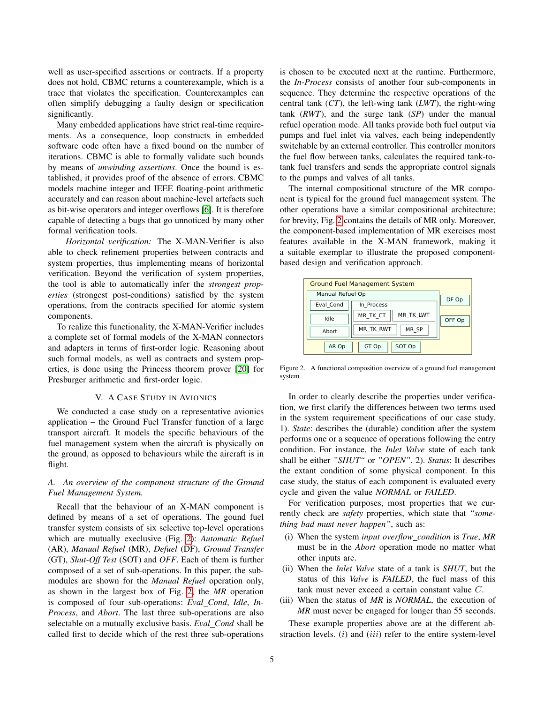well as user-specified assertions or contracts. If a property does not hold, CBMC returns a counterexample, which is a trace that violates the specification. Counterexamples can often simplify debugging a faulty design or specification significantly.

Many embedded applications have strict real-time requirements. As a consequence, loop constructs in embedded software code often have a fixed bound on the number of iterations. CBMC is able to formally validate such bounds by means of *unwinding assertions*. Once the bound is established, it provides proof of the absence of errors. CBMC models machine integer and IEEE floating-point arithmetic accurately and can reason about machine-level artefacts such as bit-wise operators and integer overflows [\[6\]](#page-8-17). It is therefore capable of detecting a bugs that go unnoticed by many other formal verification tools.

*Horizontal verification:* The X-MAN-Verifier is also able to check refinement properties between contracts and system properties, thus implementing means of horizontal verification. Beyond the verification of system properties, the tool is able to automatically infer the *strongest properties* (strongest post-conditions) satisfied by the system operations, from the contracts specified for atomic system components.

To realize this functionality, the X-MAN-Verifier includes a complete set of formal models of the X-MAN connectors and adapters in terms of first-order logic. Reasoning about such formal models, as well as contracts and system properties, is done using the Princess theorem prover [\[20\]](#page-8-18) for Presburger arithmetic and first-order logic.

#### V. A CASE STUDY IN AVIONICS

<span id="page-4-0"></span>We conducted a case study on a representative avionics application – the Ground Fuel Transfer function of a large transport aircraft. It models the specific behaviours of the fuel management system when the aircraft is physically on the ground, as opposed to behaviours while the aircraft is in flight.

# *A. An overview of the component structure of the Ground Fuel Management System.*

Recall that the behaviour of an X-MAN component is defined by means of a set of operations. The gound fuel transfer system consists of six selective top-level operations which are mutually execlusive (Fig. [2\)](#page-4-1): *Automatic Refuel* (AR), *Manual Refuel* (MR), *Defuel* (DF), *Ground Transfer* (GT), *Shut-Off Test* (SOT) and *OFF*. Each of them is further composed of a set of sub-operations. In this paper, the submodules are shown for the *Manual Refuel* operation only, as shown in the largest box of Fig. [2,](#page-4-1) the *MR* operation is composed of four sub-operations: *Eval Cond*, *Idle*, *In-Process*, and *Abort*. The last three sub-operations are also selectable on a mutually exclusive basis. *Eval Cond* shall be called first to decide which of the rest three sub-operations is chosen to be executed next at the runtime. Furthermore, the *In-Process* consists of another four sub-components in sequence. They determine the respective operations of the central tank (*CT*), the left-wing tank (*LWT*), the right-wing tank (*RWT*), and the surge tank (*SP*) under the manual refuel operation mode. All tanks provide both fuel output via pumps and fuel inlet via valves, each being independently switchable by an external controller. This controller monitors the fuel flow between tanks, calculates the required tank-totank fuel transfers and sends the appropriate control signals to the pumps and valves of all tanks.

The internal compositional structure of the MR component is typical for the ground fuel management system. The other operations have a similar compositional architecture; for brevity, Fig. [2](#page-4-1) contains the details of MR only. Moreover, the component-based implementation of MR exercises most features available in the X-MAN framework, making it a suitable exemplar to illustrate the proposed componentbased design and verification approach.

| <b>Ground Fuel Management System</b> |                  |                       |        |
|--------------------------------------|------------------|-----------------------|--------|
|                                      | Manual Refuel Op |                       | DF Op  |
|                                      | Eval Cond        | In Process            |        |
|                                      | Idle             | MR TK LWT<br>MR TK CT | OFF Op |
|                                      | Abort            | MR SP<br>MR TK RWT    |        |
|                                      | AR Op            | SOT Op<br>GT Op       |        |

<span id="page-4-1"></span>Figure 2. A functional composition overview of a ground fuel management system

In order to clearly describe the properties under verification, we first clarify the differences between two terms used in the system requirement specifications of our case study. 1). *State*: describes the (durable) condition after the system performs one or a sequence of operations following the entry condition. For instance, the *Inlet Valve* state of each tank shall be either *"SHUT"* or *"OPEN"*. 2). *Status*: It describes the extant condition of some physical component. In this case study, the status of each component is evaluated every cycle and given the value *NORMAL* or *FAILED*.

For verification purposes, most properties that we currently check are *safety* properties, which state that *"something bad must never happen"*, such as:

- (i) When the system *input overflow condition* is *True*, *MR* must be in the *Abort* operation mode no matter what other inputs are.
- (ii) When the *Inlet Valve* state of a tank is *SHUT*, but the status of this *Valve* is *FAILED*, the fuel mass of this tank must never exceed a certain constant value C.
- (iii) When the status of *MR* is *NORMAL*, the execution of *MR* must never be engaged for longer than 55 seconds.

These example properties above are at the different abstraction levels.  $(i)$  and  $(iii)$  refer to the entire system-level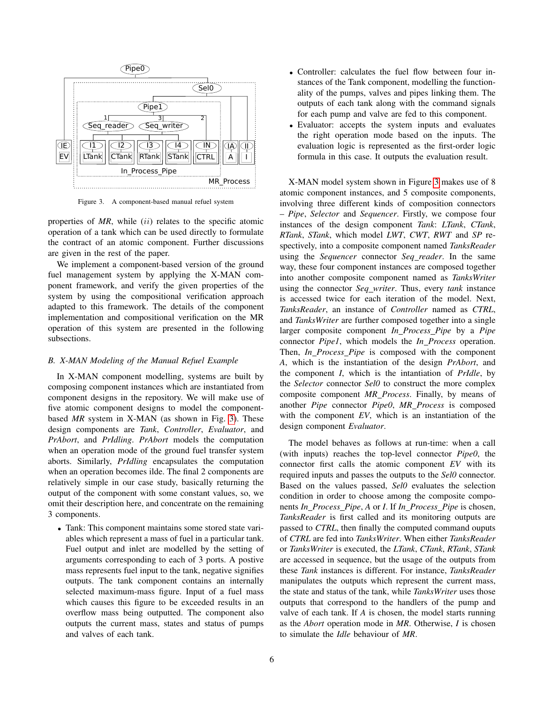

<span id="page-5-0"></span>Figure 3. A component-based manual refuel system

properties of MR, while (ii) relates to the specific atomic operation of a tank which can be used directly to formulate the contract of an atomic component. Further discussions are given in the rest of the paper.

We implement a component-based version of the ground fuel management system by applying the X-MAN component framework, and verify the given properties of the system by using the compositional verification approach adapted to this framework. The details of the component implementation and compositional verification on the MR operation of this system are presented in the following subsections.

### *B. X-MAN Modeling of the Manual Refuel Example*

In X-MAN component modelling, systems are built by composing component instances which are instantiated from component designs in the repository. We will make use of five atomic component designs to model the componentbased *MR* system in X-MAN (as shown in Fig. [3\)](#page-5-0). These design components are *Tank*, *Controller*, *Evaluator*, and *PrAbort*, and *PrIdling*. *PrAbort* models the computation when an operation mode of the ground fuel transfer system aborts. Similarly, *PrIdling* encapsulates the computation when an operation becomes ilde. The final 2 components are relatively simple in our case study, basically returning the output of the component with some constant values, so, we omit their description here, and concentrate on the remaining 3 components.

• Tank: This component maintains some stored state variables which represent a mass of fuel in a particular tank. Fuel output and inlet are modelled by the setting of arguments corresponding to each of 3 ports. A postive mass represents fuel input to the tank, negative signifies outputs. The tank component contains an internally selected maximum-mass figure. Input of a fuel mass which causes this figure to be exceeded results in an overflow mass being outputted. The component also outputs the current mass, states and status of pumps and valves of each tank.

- Controller: calculates the fuel flow between four instances of the Tank component, modelling the functionality of the pumps, valves and pipes linking them. The outputs of each tank along with the command signals for each pump and valve are fed to this component.
- Evaluator: accepts the system inputs and evaluates the right operation mode based on the inputs. The evaluation logic is represented as the first-order logic formula in this case. It outputs the evaluation result.

X-MAN model system shown in Figure [3](#page-5-0) makes use of 8 atomic component instances, and 5 composite components, involving three different kinds of composition connectors – *Pipe*, *Selector* and *Sequencer*. Firstly, we compose four instances of the design component *Tank*: *LTank*, *CTank*, *RTank*, *STank*, which model *LWT*, *CWT*, *RWT* and *SP* respectively, into a composite component named *TanksReader* using the *Sequencer* connector *Seq reader*. In the same way, these four component instances are composed together into another composite component named as *TanksWriter* using the connector *Seq writer*. Thus, every *tank* instance is accessed twice for each iteration of the model. Next, *TanksReader*, an instance of *Controller* named as *CTRL*, and *TanksWriter* are further composed together into a single larger composite component *In Process Pipe* by a *Pipe* connector *Pipe1*, which models the *In Process* operation. Then, *In Process Pipe* is composed with the component *A*, which is the instantiation of the design *PrAbort*, and the component *I*, which is the intantiation of *PrIdle*, by the *Selector* connector *Sel0* to construct the more complex composite component *MR Process*. Finally, by means of another *Pipe* connector *Pipe0*, *MR Process* is composed with the component *EV*, which is an instantiation of the design component *Evaluator*.

The model behaves as follows at run-time: when a call (with inputs) reaches the top-level connector *Pipe0*, the connector first calls the atomic component *EV* with its required inputs and passes the outputs to the *Sel0* connector. Based on the values passed, *Sel0* evaluates the selection condition in order to choose among the composite components *In Process Pipe*, *A* or *I*. If *In Process Pipe* is chosen, *TanksReader* is first called and its monitoring outputs are passed to *CTRL*, then finally the computed command ouputs of *CTRL* are fed into *TanksWriter*. When either *TanksReader* or *TanksWriter* is executed, the *LTank*, *CTank*, *RTank*, *STank* are accessed in sequence, but the usage of the outputs from these *Tank* instances is different. For instance, *TanksReader* manipulates the outputs which represent the current mass, the state and status of the tank, while *TanksWriter* uses those outputs that correspond to the handlers of the pump and valve of each tank. If *A* is chosen, the model starts running as the *Abort* operation mode in *MR*. Otherwise, *I* is chosen to simulate the *Idle* behaviour of *MR*.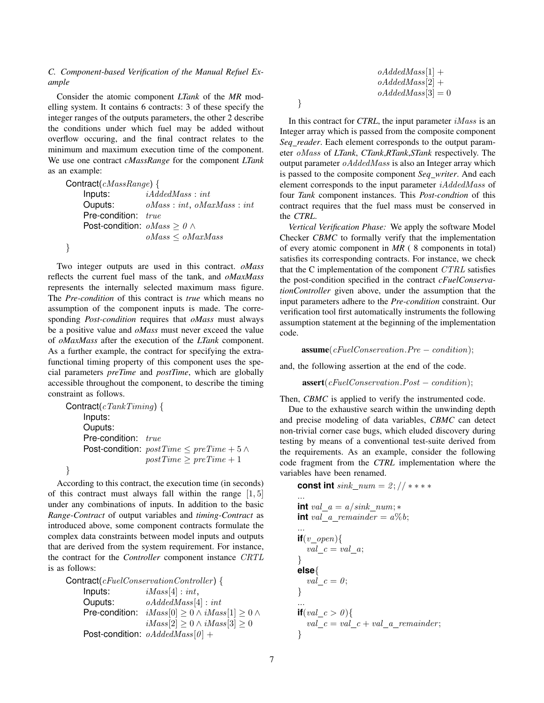# *C. Component-based Verification of the Manual Refuel Example*

Consider the atomic component *LTank* of the *MR* modelling system. It contains 6 contracts: 3 of these specify the integer ranges of the outputs parameters, the other 2 describe the conditions under which fuel may be added without overflow occuring, and the final contract relates to the minimum and maximum execution time of the component. We use one contract *cMassRange* for the component *LTank* as an example:

Contract(cMassRange) { Inputs:  $iAddedMass : int$ Ouputs: oMass : int, oMaxMass : int Pre-condition: true Post-condition:  $oMass > 0 \land$ oMass ≤ oMaxMass }

Two integer outputs are used in this contract. *oMass* reflects the current fuel mass of the tank, and *oMaxMass* represents the internally selected maximum mass figure. The *Pre-condition* of this contract is *true* which means no assumption of the component inputs is made. The corresponding *Post-condition* requires that *oMass* must always be a positive value and *oMass* must never exceed the value of *oMaxMass* after the execution of the *LTank* component. As a further example, the contract for specifying the extrafunctional timing property of this component uses the special parameters *preTime* and *postTime*, which are globally accessible throughout the component, to describe the timing constraint as follows.

Contract( $c\text{rankTiming}$ ) { Inputs: Ouputs: Pre-condition: true Post-condition:  $postTime \leq preTime + 5 \land$  $postTime \geq preTime + 1$ 

According to this contract, the execution time (in seconds) of this contract must always fall within the range  $[1, 5]$ under any combinations of inputs. In addition to the basic *Range-Contract* of output variables and *timing-Contract* as introduced above, some component contracts formulate the complex data constraints between model inputs and outputs that are derived from the system requirement. For instance, the contract for the *Controller* component instance CRTL is as follows:

}

 $\text{Contract}(cFuelConservationController)$  { Inputs:  $iMass[4]: int,$ **Ouputs:**  $oAddedMass[4]: int$ Pre-condition:  $iMass[0] \ge 0 \land iMass[1] \ge 0 \land$  $iMass[2] \geq 0 \wedge iMass[3] \geq 0$ Post-condition:  $oAddedMass[0] +$ 

$$
oA dde dMass [1] + \\ oA dde dMass [2] + \\ oA dde dMass [3] = 0
$$

}

In this contract for *CTRL*, the input parameter *iMass* is an Integer array which is passed from the composite component *Seq reader*. Each element corresponds to the output parameter oMass of *LTank*, *CTank*,*RTank*,*STank* respectively. The output parameter  $oA dde dMass$  is also an Integer array which is passed to the composite component *Seq writer*. And each element corresponds to the input parameter iAddedMass of four *Tank* component instances. This *Post-condtion* of this contract requires that the fuel mass must be conserved in the *CTRL*.

*Vertical Verification Phase:* We apply the software Model Checker *CBMC* to formally verify that the implementation of every atomic component in *MR* ( 8 components in total) satisfies its corresponding contracts. For instance, we check that the C implementation of the component CTRL satisfies the post-condition specified in the contract *cFuelConservationController* given above, under the assumption that the input parameters adhere to the *Pre-condition* constraint. Our verification tool first automatically instruments the following assumption statement at the beginning of the implementation code.

 $$ 

and, the following assertion at the end of the code.

 $\textbf{assert}(cFuelConservation.Post - condition);$ 

Then, *CBMC* is applied to verify the instrumented code.

Due to the exhaustive search within the unwinding depth and precise modeling of data variables, *CBMC* can detect non-trivial corner case bugs, which eluded discovery during testing by means of a conventional test-suite derived from the requirements. As an example, consider the following code fragment from the *CTRL* implementation where the variables have been renamed.

**const int** sink  $num = 2$ ;  $//$  \* \* \* \* ... **int** val  $a = a/sink$  num;  $*$ **int** val a remainder  $= a\%b$ ; ...  $if(v \text{ open})$  $val_c = val_a;$ } **else**{  $val\_c = 0;$ } ... **if**(*val*  $c > 0$ ){  $val\_c = val\_c + val\_a\_remainder;$ }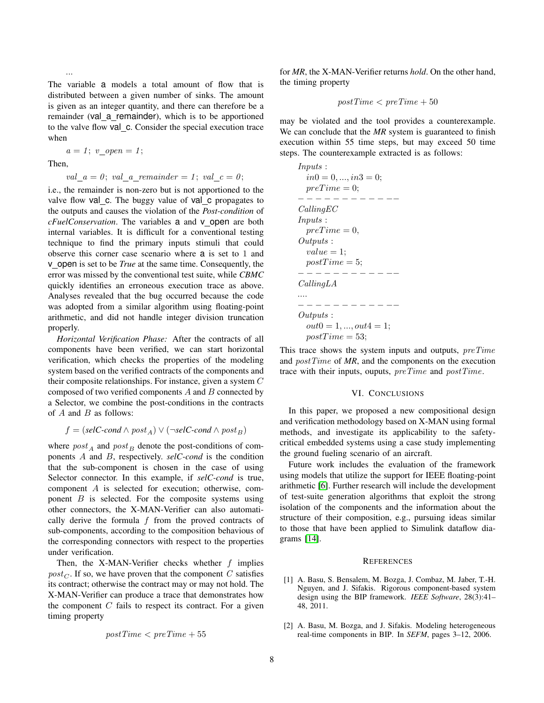The variable a models a total amount of flow that is distributed between a given number of sinks. The amount is given as an integer quantity, and there can therefore be a remainder (val a remainder), which is to be apportioned to the valve flow val c. Consider the special execution trace when

$$
a=1;\ v\_open=1;
$$

Then,

...

val  $a = 0$ ; val a remainder = 1; val  $c = 0$ ;

i.e., the remainder is non-zero but is not apportioned to the valve flow val c. The buggy value of val c propagates to the outputs and causes the violation of the *Post-condition* of *cFuelConservation*. The variables a and v open are both internal variables. It is difficult for a conventional testing technique to find the primary inputs stimuli that could observe this corner case scenario where a is set to 1 and v open is set to be *True* at the same time. Consequently, the error was missed by the conventional test suite, while *CBMC* quickly identifies an erroneous execution trace as above. Analyses revealed that the bug occurred because the code was adopted from a similar algorithm using floating-point arithmetic, and did not handle integer division truncation properly.

*Horizontal Verification Phase:* After the contracts of all components have been verified, we can start horizontal verification, which checks the properties of the modeling system based on the verified contracts of the components and their composite relationships. For instance, given a system C composed of two verified components A and B connected by a Selector, we combine the post-conditions in the contracts of  $A$  and  $B$  as follows:

$$
f = (selC\text{-}cond \land post_A) \lor (\neg selC\text{-}cond \land post_B)
$$

where  $post_A$  and  $post_B$  denote the post-conditions of components A and B, respectively. *selC-cond* is the condition that the sub-component is chosen in the case of using Selector connector. In this example, if *selC-cond* is true, component A is selected for execution; otherwise, component  $B$  is selected. For the composite systems using other connectors, the X-MAN-Verifier can also automatically derive the formula  $f$  from the proved contracts of sub-components, according to the composition behavious of the corresponding connectors with respect to the properties under verification.

Then, the X-MAN-Verifier checks whether  $f$  implies  $post_{\mathcal{C}}$ . If so, we have proven that the component C satisfies its contract; otherwise the contract may or may not hold. The X-MAN-Verifier can produce a trace that demonstrates how the component  $C$  fails to respect its contract. For a given timing property

$$
postTime < preTime + 55
$$

for *MR*, the X-MAN-Verifier returns *hold*. On the other hand, the timing property

$$
postTime < preTime + 50
$$

may be violated and the tool provides a counterexample. We can conclude that the *MR* system is guaranteed to finish execution within 55 time steps, but may exceed 50 time steps. The counterexample extracted is as follows:

Inputs : in0 = 0, ..., in3 = 0; preT ime = 0; − − − − − − − − − − −− CallingEC Inputs : preT ime = 0, Outputs : value = 1; postT ime = 5; − − − − − − − − − − −− CallingLA .... − − − − − − − − − − −− Outputs : out0 = 1, ..., out4 = 1; postT ime = 53;

This trace shows the system inputs and outputs, preTime and postTime of *MR*, and the components on the execution trace with their inputs, ouputs,  $preTime$  and  $postTime$ .

#### VI. CONCLUSIONS

In this paper, we proposed a new compositional design and verification methodology based on X-MAN using formal methods, and investigate its applicability to the safetycritical embedded systems using a case study implementing the ground fueling scenario of an aircraft.

Future work includes the evaluation of the framework using models that utilize the support for IEEE floating-point arithmetic [\[6\]](#page-8-17). Further research will include the development of test-suite generation algorithms that exploit the strong isolation of the components and the information about the structure of their composition, e.g., pursuing ideas similar to those that have been applied to Simulink dataflow diagrams [\[14\]](#page-8-19).

#### **REFERENCES**

- <span id="page-7-1"></span>[1] A. Basu, S. Bensalem, M. Bozga, J. Combaz, M. Jaber, T.-H. Nguyen, and J. Sifakis. Rigorous component-based system design using the BIP framework. *IEEE Software*, 28(3):41– 48, 2011.
- <span id="page-7-0"></span>[2] A. Basu, M. Bozga, and J. Sifakis. Modeling heterogeneous real-time components in BIP. In *SEFM*, pages 3–12, 2006.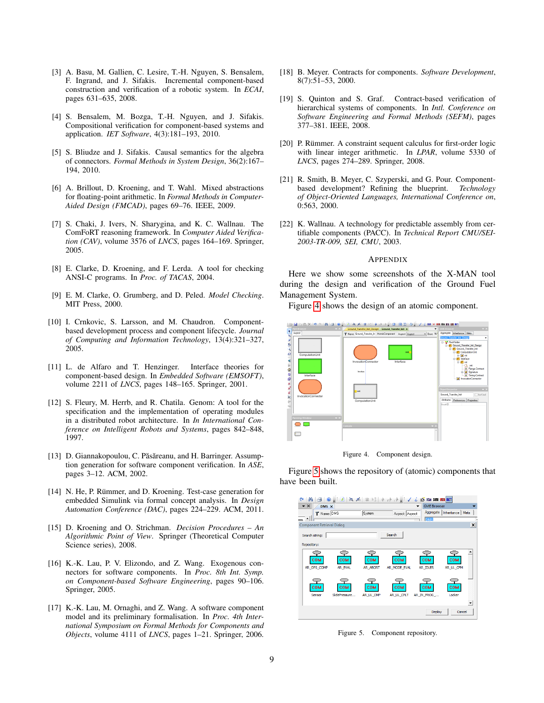- <span id="page-8-9"></span>[3] A. Basu, M. Gallien, C. Lesire, T.-H. Nguyen, S. Bensalem, F. Ingrand, and J. Sifakis. Incremental component-based construction and verification of a robotic system. In *ECAI*, pages 631–635, 2008.
- <span id="page-8-8"></span>[4] S. Bensalem, M. Bozga, T.-H. Nguyen, and J. Sifakis. Compositional verification for component-based systems and application. *IET Software*, 4(3):181–193, 2010.
- <span id="page-8-7"></span>[5] S. Bliudze and J. Sifakis. Causal semantics for the algebra of connectors. *Formal Methods in System Design*, 36(2):167– 194, 2010.
- <span id="page-8-17"></span>[6] A. Brillout, D. Kroening, and T. Wahl. Mixed abstractions for floating-point arithmetic. In *Formal Methods in Computer-Aided Design (FMCAD)*, pages 69–76. IEEE, 2009.
- <span id="page-8-4"></span>[7] S. Chaki, J. Ivers, N. Sharygina, and K. C. Wallnau. The ComFoRT reasoning framework. In *Computer Aided Verification (CAV)*, volume 3576 of *LNCS*, pages 164–169. Springer, 2005.
- <span id="page-8-16"></span>[8] E. Clarke, D. Kroening, and F. Lerda. A tool for checking ANSI-C programs. In *Proc. of TACAS*, 2004.
- <span id="page-8-2"></span>[9] E. M. Clarke, O. Grumberg, and D. Peled. *Model Checking*. MIT Press, 2000.
- <span id="page-8-1"></span>[10] I. Crnkovic, S. Larsson, and M. Chaudron. Componentbased development process and component lifecycle. *Journal of Computing and Information Technology*, 13(4):321–327, 2005.
- <span id="page-8-11"></span>[11] L. de Alfaro and T. Henzinger. Interface theories for component-based design. In *Embedded Software (EMSOFT)*, volume 2211 of *LNCS*, pages 148–165. Springer, 2001.
- <span id="page-8-10"></span>[12] S. Fleury, M. Herrb, and R. Chatila. Genom: A tool for the specification and the implementation of operating modules in a distributed robot architecture. In *In International Conference on Intelligent Robots and Systems*, pages 842–848, 1997.
- <span id="page-8-12"></span>[13] D. Giannakopoulou, C. Păsăreanu, and H. Barringer. Assumption generation for software component verification. In *ASE*, pages 3–12. ACM, 2002.
- <span id="page-8-19"></span>[14] N. He, P. Rümmer, and D. Kroening. Test-case generation for embedded Simulink via formal concept analysis. In *Design Automation Conference (DAC)*, pages 224–229. ACM, 2011.
- <span id="page-8-15"></span>[15] D. Kroening and O. Strichman. *Decision Procedures – An Algorithmic Point of View*. Springer (Theoretical Computer Science series), 2008.
- <span id="page-8-13"></span>[16] K.-K. Lau, P. V. Elizondo, and Z. Wang. Exogenous connectors for software components. In *Proc. 8th Int. Symp. on Component-based Software Engineering*, pages 90–106. Springer, 2005.
- <span id="page-8-3"></span>[17] K.-K. Lau, M. Ornaghi, and Z. Wang. A software component model and its preliminary formalisation. In *Proc. 4th International Symposium on Formal Methods for Components and Objects*, volume 4111 of *LNCS*, pages 1–21. Springer, 2006.
- <span id="page-8-14"></span>[18] B. Meyer. Contracts for components. *Software Development*, 8(7):51–53, 2000.
- <span id="page-8-6"></span>[19] S. Quinton and S. Graf. Contract-based verification of hierarchical systems of components. In *Intl. Conference on Software Engineering and Formal Methods (SEFM)*, pages 377–381. IEEE, 2008.
- <span id="page-8-18"></span>[20] P. Rümmer. A constraint sequent calculus for first-order logic with linear integer arithmetic. In *LPAR*, volume 5330 of *LNCS*, pages 274–289. Springer, 2008.
- <span id="page-8-0"></span>[21] R. Smith, B. Meyer, C. Szyperski, and G. Pour. Componentbased development? Refining the blueprint. *Technology of Object-Oriented Languages, International Conference on*, 0:563, 2000.
- <span id="page-8-5"></span>[22] K. Wallnau. A technology for predictable assembly from certifiable components (PACC). In *Technical Report CMU/SEI-2003-TR-009, SEI, CMU*, 2003.

#### APPENDIX

Here we show some screenshots of the X-MAN tool during the design and verification of the Ground Fuel Management System.

Figure [4](#page-8-20) shows the design of an atomic component.



<span id="page-8-20"></span>Figure 4. Component design.

Figure [5](#page-8-21) shows the repository of (atomic) components that have been built.



<span id="page-8-21"></span>Figure 5. Component repository.